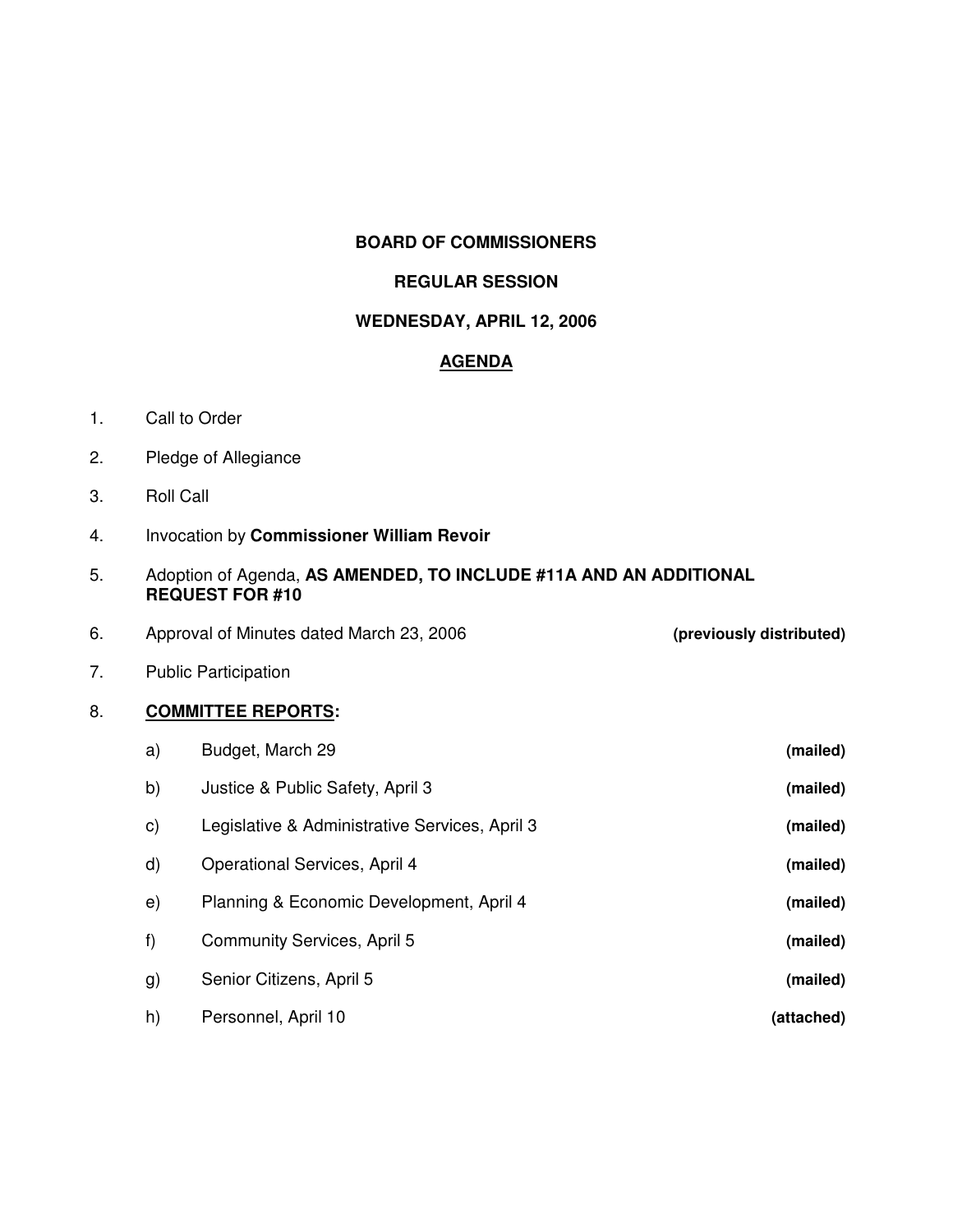### **BOARD OF COMMISSIONERS**

#### **REGULAR SESSION**

#### **WEDNESDAY, APRIL 12, 2006**

## **AGENDA**

- 1. Call to Order
- 2. Pledge of Allegiance
- 3. Roll Call
- 4. Invocation by **Commissioner William Revoir**
- 5. Adoption of Agenda, **AS AMENDED, TO INCLUDE #11A AND AN ADDITIONAL REQUEST FOR #10**
- 6. Approval of Minutes dated March 23, 2006 **(previously distributed)**

7. Public Participation

## 8. **COMMITTEE REPORTS:**

| a)           | Budget, March 29                               | (mailed)   |
|--------------|------------------------------------------------|------------|
| b)           | Justice & Public Safety, April 3               | (mailed)   |
| C)           | Legislative & Administrative Services, April 3 | (mailed)   |
| $\mathsf{d}$ | <b>Operational Services, April 4</b>           | (mailed)   |
| e)           | Planning & Economic Development, April 4       | (mailed)   |
| f)           | Community Services, April 5                    | (mailed)   |
| g)           | Senior Citizens, April 5                       | (mailed)   |
| h)           | Personnel, April 10                            | (attached) |